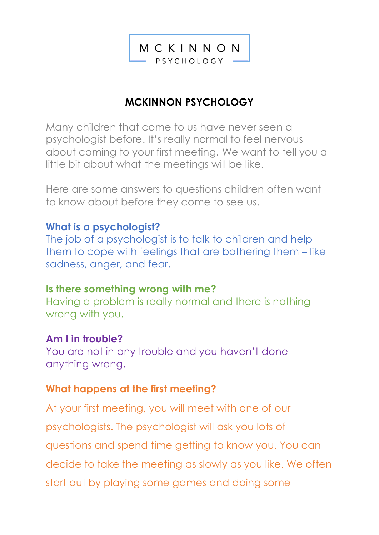MCKINNON PSYCHOLOGY

# **MCKINNON PSYCHOLOGY**

Many children that come to us have never seen a psychologist before. It's really normal to feel nervous about coming to your first meeting. We want to tell you a little bit about what the meetings will be like.

Here are some answers to questions children often want to know about before they come to see us.

## **What is a psychologist?**

The job of a psychologist is to talk to children and help them to cope with feelings that are bothering them – like sadness, anger, and fear.

## **Is there something wrong with me?**

Having a problem is really normal and there is nothing wrong with you.

## **Am I in trouble?**

You are not in any trouble and you haven't done anything wrong.

## **What happens at the first meeting?**

At your first meeting, you will meet with one of our psychologists. The psychologist will ask you lots of questions and spend time getting to know you. You can decide to take the meeting as slowly as you like. We often start out by playing some games and doing some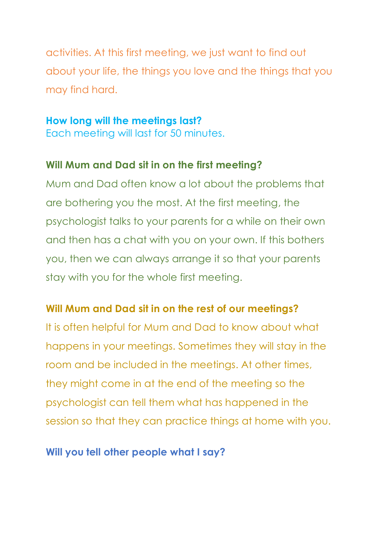activities. At this first meeting, we just want to find out about your life, the things you love and the things that you may find hard.

#### **How long will the meetings last?**

Each meeting will last for 50 minutes.

## **Will Mum and Dad sit in on the first meeting?**

Mum and Dad often know a lot about the problems that are bothering you the most. At the first meeting, the psychologist talks to your parents for a while on their own and then has a chat with you on your own. If this bothers you, then we can always arrange it so that your parents stay with you for the whole first meeting.

# **Will Mum and Dad sit in on the rest of our meetings?**

It is often helpful for Mum and Dad to know about what happens in your meetings. Sometimes they will stay in the room and be included in the meetings. At other times, they might come in at the end of the meeting so the psychologist can tell them what has happened in the session so that they can practice things at home with you.

## **Will you tell other people what I say?**